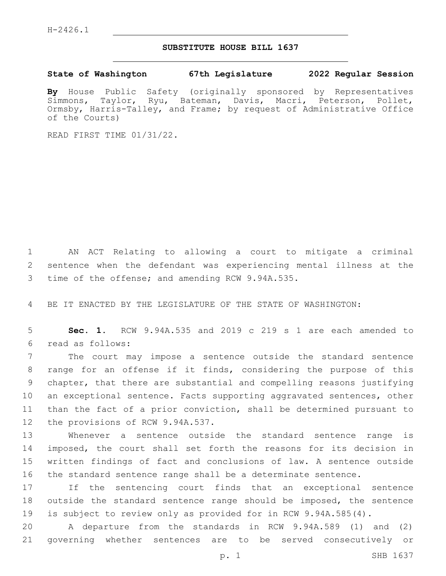## **SUBSTITUTE HOUSE BILL 1637**

**State of Washington 67th Legislature 2022 Regular Session**

**By** House Public Safety (originally sponsored by Representatives Simmons, Taylor, Ryu, Bateman, Davis, Macri, Peterson, Pollet, Ormsby, Harris-Talley, and Frame; by request of Administrative Office of the Courts)

READ FIRST TIME 01/31/22.

1 AN ACT Relating to allowing a court to mitigate a criminal 2 sentence when the defendant was experiencing mental illness at the 3 time of the offense; and amending RCW 9.94A.535.

4 BE IT ENACTED BY THE LEGISLATURE OF THE STATE OF WASHINGTON:

5 **Sec. 1.** RCW 9.94A.535 and 2019 c 219 s 1 are each amended to read as follows:6

 The court may impose a sentence outside the standard sentence range for an offense if it finds, considering the purpose of this chapter, that there are substantial and compelling reasons justifying an exceptional sentence. Facts supporting aggravated sentences, other than the fact of a prior conviction, shall be determined pursuant to 12 the provisions of RCW 9.94A.537.

 Whenever a sentence outside the standard sentence range is imposed, the court shall set forth the reasons for its decision in written findings of fact and conclusions of law. A sentence outside the standard sentence range shall be a determinate sentence.

17 If the sentencing court finds that an exceptional sentence 18 outside the standard sentence range should be imposed, the sentence 19 is subject to review only as provided for in RCW 9.94A.585(4).

20 A departure from the standards in RCW 9.94A.589 (1) and (2) 21 governing whether sentences are to be served consecutively or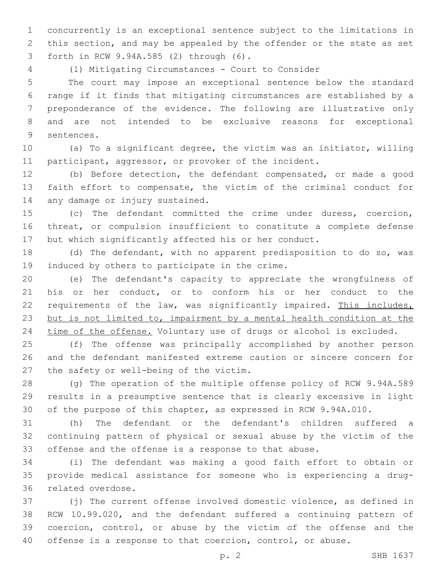concurrently is an exceptional sentence subject to the limitations in this section, and may be appealed by the offender or the state as set forth in RCW 9.94A.585 (2) through (6).3

(1) Mitigating Circumstances - Court to Consider

 The court may impose an exceptional sentence below the standard range if it finds that mitigating circumstances are established by a preponderance of the evidence. The following are illustrative only and are not intended to be exclusive reasons for exceptional 9 sentences.

 (a) To a significant degree, the victim was an initiator, willing 11 participant, aggressor, or provoker of the incident.

 (b) Before detection, the defendant compensated, or made a good faith effort to compensate, the victim of the criminal conduct for 14 any damage or injury sustained.

 (c) The defendant committed the crime under duress, coercion, threat, or compulsion insufficient to constitute a complete defense but which significantly affected his or her conduct.

 (d) The defendant, with no apparent predisposition to do so, was 19 induced by others to participate in the crime.

 (e) The defendant's capacity to appreciate the wrongfulness of his or her conduct, or to conform his or her conduct to the 22 requirements of the law, was significantly impaired. This includes, but is not limited to, impairment by a mental health condition at the 24 time of the offense. Voluntary use of drugs or alcohol is excluded.

 (f) The offense was principally accomplished by another person and the defendant manifested extreme caution or sincere concern for 27 the safety or well-being of the victim.

 (g) The operation of the multiple offense policy of RCW 9.94A.589 results in a presumptive sentence that is clearly excessive in light of the purpose of this chapter, as expressed in RCW 9.94A.010.

 (h) The defendant or the defendant's children suffered a continuing pattern of physical or sexual abuse by the victim of the offense and the offense is a response to that abuse.

 (i) The defendant was making a good faith effort to obtain or provide medical assistance for someone who is experiencing a drug-36 related overdose.

 (j) The current offense involved domestic violence, as defined in RCW 10.99.020, and the defendant suffered a continuing pattern of coercion, control, or abuse by the victim of the offense and the offense is a response to that coercion, control, or abuse.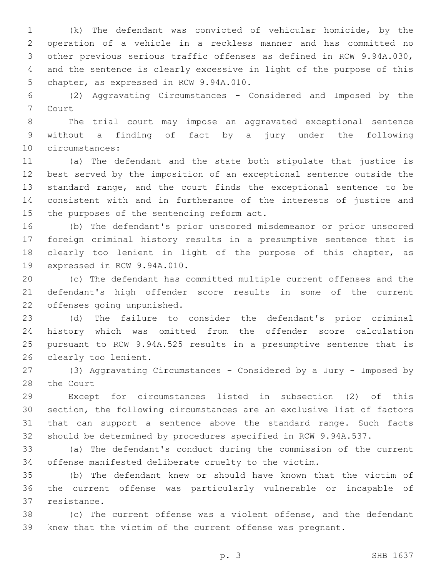(k) The defendant was convicted of vehicular homicide, by the operation of a vehicle in a reckless manner and has committed no other previous serious traffic offenses as defined in RCW 9.94A.030, and the sentence is clearly excessive in light of the purpose of this 5 chapter, as expressed in RCW 9.94A.010.

 (2) Aggravating Circumstances - Considered and Imposed by the 7 Court

 The trial court may impose an aggravated exceptional sentence without a finding of fact by a jury under the following 10 circumstances:

 (a) The defendant and the state both stipulate that justice is best served by the imposition of an exceptional sentence outside the standard range, and the court finds the exceptional sentence to be consistent with and in furtherance of the interests of justice and 15 the purposes of the sentencing reform act.

 (b) The defendant's prior unscored misdemeanor or prior unscored foreign criminal history results in a presumptive sentence that is clearly too lenient in light of the purpose of this chapter, as 19 expressed in RCW 9.94A.010.

 (c) The defendant has committed multiple current offenses and the defendant's high offender score results in some of the current 22 offenses going unpunished.

 (d) The failure to consider the defendant's prior criminal history which was omitted from the offender score calculation pursuant to RCW 9.94A.525 results in a presumptive sentence that is 26 clearly too lenient.

 (3) Aggravating Circumstances - Considered by a Jury - Imposed by 28 the Court

 Except for circumstances listed in subsection (2) of this section, the following circumstances are an exclusive list of factors that can support a sentence above the standard range. Such facts should be determined by procedures specified in RCW 9.94A.537.

 (a) The defendant's conduct during the commission of the current offense manifested deliberate cruelty to the victim.

 (b) The defendant knew or should have known that the victim of the current offense was particularly vulnerable or incapable of 37 resistance.

 (c) The current offense was a violent offense, and the defendant knew that the victim of the current offense was pregnant.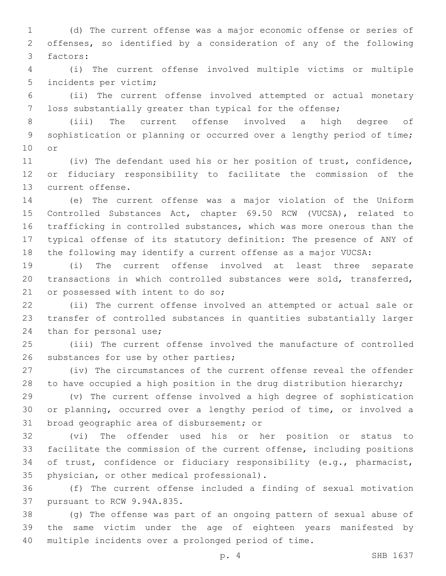(d) The current offense was a major economic offense or series of offenses, so identified by a consideration of any of the following 3 factors:

 (i) The current offense involved multiple victims or multiple 5 incidents per victim;

 (ii) The current offense involved attempted or actual monetary loss substantially greater than typical for the offense;

 (iii) The current offense involved a high degree of sophistication or planning or occurred over a lengthy period of time; 10 or

 (iv) The defendant used his or her position of trust, confidence, or fiduciary responsibility to facilitate the commission of the 13 current offense.

 (e) The current offense was a major violation of the Uniform Controlled Substances Act, chapter 69.50 RCW (VUCSA), related to trafficking in controlled substances, which was more onerous than the typical offense of its statutory definition: The presence of ANY of the following may identify a current offense as a major VUCSA:

 (i) The current offense involved at least three separate transactions in which controlled substances were sold, transferred, 21 or possessed with intent to do so;

 (ii) The current offense involved an attempted or actual sale or transfer of controlled substances in quantities substantially larger 24 than for personal use;

 (iii) The current offense involved the manufacture of controlled 26 substances for use by other parties;

 (iv) The circumstances of the current offense reveal the offender to have occupied a high position in the drug distribution hierarchy;

 (v) The current offense involved a high degree of sophistication or planning, occurred over a lengthy period of time, or involved a 31 broad geographic area of disbursement; or

 (vi) The offender used his or her position or status to facilitate the commission of the current offense, including positions of trust, confidence or fiduciary responsibility (e.g., pharmacist, 35 physician, or other medical professional).

 (f) The current offense included a finding of sexual motivation 37 pursuant to RCW 9.94A.835.

 (g) The offense was part of an ongoing pattern of sexual abuse of the same victim under the age of eighteen years manifested by multiple incidents over a prolonged period of time.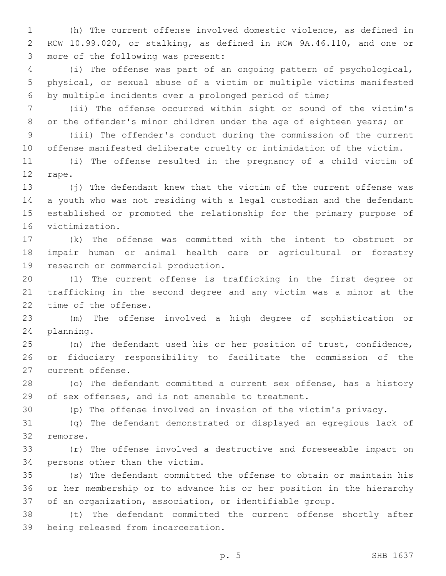(h) The current offense involved domestic violence, as defined in RCW 10.99.020, or stalking, as defined in RCW 9A.46.110, and one or 3 more of the following was present:

 (i) The offense was part of an ongoing pattern of psychological, physical, or sexual abuse of a victim or multiple victims manifested by multiple incidents over a prolonged period of time;

 (ii) The offense occurred within sight or sound of the victim's or the offender's minor children under the age of eighteen years; or

 (iii) The offender's conduct during the commission of the current offense manifested deliberate cruelty or intimidation of the victim.

 (i) The offense resulted in the pregnancy of a child victim of 12 rape.

 (j) The defendant knew that the victim of the current offense was a youth who was not residing with a legal custodian and the defendant established or promoted the relationship for the primary purpose of 16 victimization.

 (k) The offense was committed with the intent to obstruct or impair human or animal health care or agricultural or forestry 19 research or commercial production.

 (l) The current offense is trafficking in the first degree or trafficking in the second degree and any victim was a minor at the 22 time of the offense.

 (m) The offense involved a high degree of sophistication or 24 planning.

 (n) The defendant used his or her position of trust, confidence, or fiduciary responsibility to facilitate the commission of the 27 current offense.

 (o) The defendant committed a current sex offense, has a history of sex offenses, and is not amenable to treatment.

(p) The offense involved an invasion of the victim's privacy.

 (q) The defendant demonstrated or displayed an egregious lack of 32 remorse.

 (r) The offense involved a destructive and foreseeable impact on 34 persons other than the victim.

 (s) The defendant committed the offense to obtain or maintain his or her membership or to advance his or her position in the hierarchy of an organization, association, or identifiable group.

 (t) The defendant committed the current offense shortly after 39 being released from incarceration.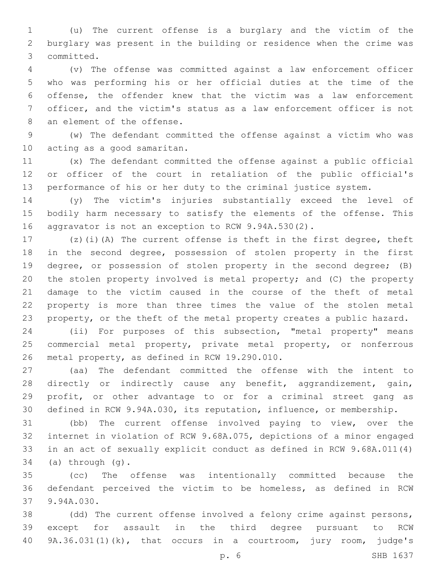(u) The current offense is a burglary and the victim of the burglary was present in the building or residence when the crime was committed.3

 (v) The offense was committed against a law enforcement officer who was performing his or her official duties at the time of the offense, the offender knew that the victim was a law enforcement officer, and the victim's status as a law enforcement officer is not 8 an element of the offense.

 (w) The defendant committed the offense against a victim who was 10 acting as a good samaritan.

 (x) The defendant committed the offense against a public official or officer of the court in retaliation of the public official's performance of his or her duty to the criminal justice system.

 (y) The victim's injuries substantially exceed the level of bodily harm necessary to satisfy the elements of the offense. This aggravator is not an exception to RCW 9.94A.530(2).

 (z)(i)(A) The current offense is theft in the first degree, theft in the second degree, possession of stolen property in the first degree, or possession of stolen property in the second degree; (B) the stolen property involved is metal property; and (C) the property damage to the victim caused in the course of the theft of metal property is more than three times the value of the stolen metal property, or the theft of the metal property creates a public hazard.

 (ii) For purposes of this subsection, "metal property" means commercial metal property, private metal property, or nonferrous 26 metal property, as defined in RCW 19.290.010.

 (aa) The defendant committed the offense with the intent to directly or indirectly cause any benefit, aggrandizement, gain, profit, or other advantage to or for a criminal street gang as defined in RCW 9.94A.030, its reputation, influence, or membership.

 (bb) The current offense involved paying to view, over the internet in violation of RCW 9.68A.075, depictions of a minor engaged in an act of sexually explicit conduct as defined in RCW 9.68A.011(4) (a) through  $(q)$ .

 (cc) The offense was intentionally committed because the defendant perceived the victim to be homeless, as defined in RCW 37 9.94A.030.

 (dd) The current offense involved a felony crime against persons, except for assault in the third degree pursuant to RCW 9A.36.031(1)(k), that occurs in a courtroom, jury room, judge's

p. 6 SHB 1637